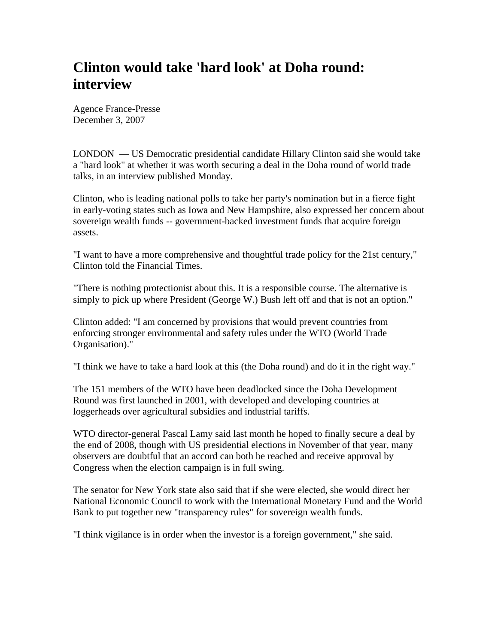## **Clinton would take 'hard look' at Doha round: interview**

Agence France-Presse December 3, 2007

LONDON — US Democratic presidential candidate Hillary Clinton said she would take a "hard look" at whether it was worth securing a deal in the Doha round of world trade talks, in an interview published Monday.

Clinton, who is leading national polls to take her party's nomination but in a fierce fight in early-voting states such as Iowa and New Hampshire, also expressed her concern about sovereign wealth funds -- government-backed investment funds that acquire foreign assets.

"I want to have a more comprehensive and thoughtful trade policy for the 21st century," Clinton told the Financial Times.

"There is nothing protectionist about this. It is a responsible course. The alternative is simply to pick up where President (George W.) Bush left off and that is not an option."

Clinton added: "I am concerned by provisions that would prevent countries from enforcing stronger environmental and safety rules under the WTO (World Trade Organisation)."

"I think we have to take a hard look at this (the Doha round) and do it in the right way."

The 151 members of the WTO have been deadlocked since the Doha Development Round was first launched in 2001, with developed and developing countries at loggerheads over agricultural subsidies and industrial tariffs.

WTO director-general Pascal Lamy said last month he hoped to finally secure a deal by the end of 2008, though with US presidential elections in November of that year, many observers are doubtful that an accord can both be reached and receive approval by Congress when the election campaign is in full swing.

The senator for New York state also said that if she were elected, she would direct her National Economic Council to work with the International Monetary Fund and the World Bank to put together new "transparency rules" for sovereign wealth funds.

"I think vigilance is in order when the investor is a foreign government," she said.